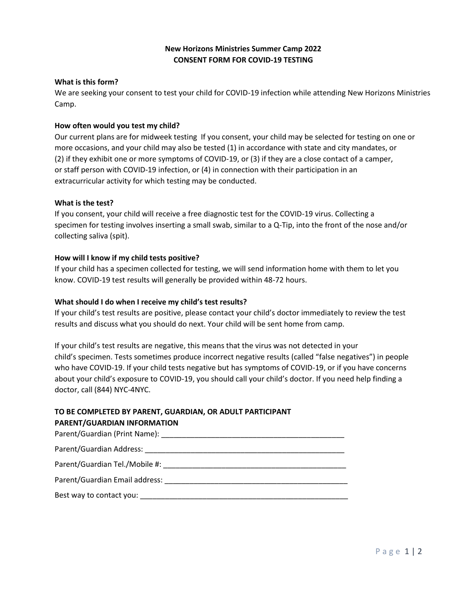## **New Horizons Ministries Summer Camp 2022 CONSENT FORM FOR COVID-19 TESTING**

#### **What is this form?**

We are seeking your consent to test your child for COVID-19 infection while attending New Horizons Ministries Camp.

#### **How often would you test my child?**

Our current plans are for midweek testing If you consent, your child may be selected for testing on one or more occasions, and your child may also be tested (1) in accordance with state and city mandates, or (2) if they exhibit one or more symptoms of COVID-19, or (3) if they are a close contact of a camper, or staff person with COVID-19 infection, or (4) in connection with their participation in an extracurricular activity for which testing may be conducted.

#### **What is the test?**

If you consent, your child will receive a free diagnostic test for the COVID-19 virus. Collecting a specimen for testing involves inserting a small swab, similar to a Q-Tip, into the front of the nose and/or collecting saliva (spit).

#### **How will I know if my child tests positive?**

If your child has a specimen collected for testing, we will send information home with them to let you know. COVID-19 test results will generally be provided within 48-72 hours.

#### **What should I do when I receive my child's test results?**

If your child's test results are positive, please contact your child's doctor immediately to review the test results and discuss what you should do next. Your child will be sent home from camp.

If your child's test results are negative, this means that the virus was not detected in your child's specimen. Tests sometimes produce incorrect negative results (called "false negatives") in people who have COVID-19. If your child tests negative but has symptoms of COVID-19, or if you have concerns about your child's exposure to COVID-19, you should call your child's doctor. If you need help finding a doctor, call (844) NYC-4NYC.

# **TO BE COMPLETED BY PARENT, GUARDIAN, OR ADULT PARTICIPANT**

#### **PARENT/GUARDIAN INFORMATION**

| Parent/Guardian Tel./Mobile #: National Contract of Contract Contract of Contract Contract Oriental Contract O |
|----------------------------------------------------------------------------------------------------------------|
| Parent/Guardian Email address: National American Secret Services of the Contractor Contractor Contractor Contr |
|                                                                                                                |
|                                                                                                                |